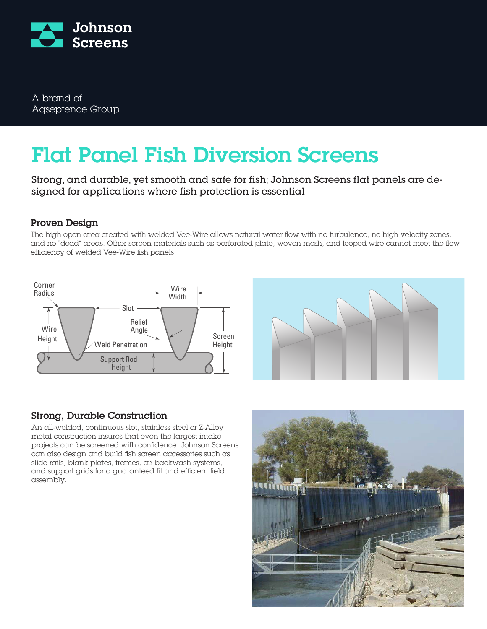

A brand of Aqseptence Group

# Flat Panel Fish Diversion Screens

Strong, and durable, yet smooth and safe for fish; Johnson Screens flat panels are designed for applications where fish protection is essential

# Proven Design

The high open area created with welded Vee-Wire allows natural water flow with no turbulence, no high velocity zones, and no "dead" areas. Other screen materials such as perforated plate, woven mesh, and looped wire cannot meet the flow efficiency of welded Vee-Wire fish panels





# Strong, Durable Construction

An all-welded, continuous slot, stainless steel or Z-Alloy metal construction insures that even the largest intake projects can be screened with confidence. Johnson Screens can also design and build fish screen accessories such as slide rails, blank plates, frames, air backwash systems, and support grids for a guaranteed fit and efficient field assembly.